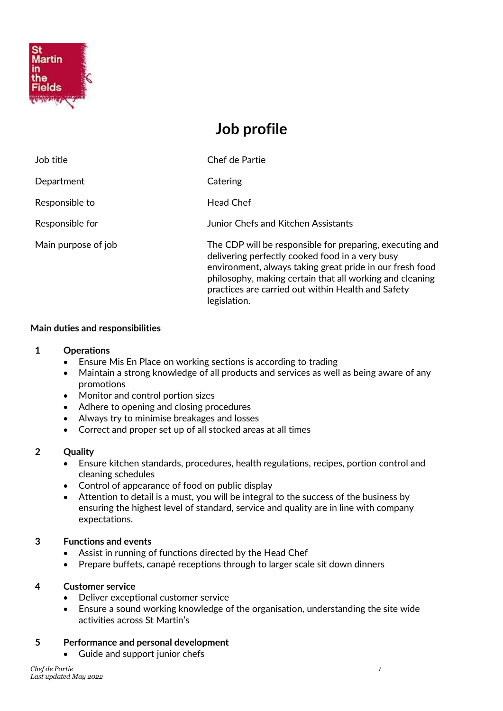

# **Job profile**

| Job title           | Chef de Partie                                                                                                                                                                                                                                                                                            |
|---------------------|-----------------------------------------------------------------------------------------------------------------------------------------------------------------------------------------------------------------------------------------------------------------------------------------------------------|
| Department          | Catering                                                                                                                                                                                                                                                                                                  |
| Responsible to      | <b>Head Chef</b>                                                                                                                                                                                                                                                                                          |
| Responsible for     | Junior Chefs and Kitchen Assistants                                                                                                                                                                                                                                                                       |
| Main purpose of job | The CDP will be responsible for preparing, executing and<br>delivering perfectly cooked food in a very busy<br>environment, always taking great pride in our fresh food<br>philosophy, making certain that all working and cleaning<br>practices are carried out within Health and Safety<br>legislation. |

# **Main duties and responsibilities**

# **1 Operations**

- Ensure Mis En Place on working sections is according to trading
- Maintain a strong knowledge of all products and services as well as being aware of any promotions
- Monitor and control portion sizes
- Adhere to opening and closing procedures
- Always try to minimise breakages and losses
- Correct and proper set up of all stocked areas at all times

#### **2 Quality**

- Ensure kitchen standards, procedures, health regulations, recipes, portion control and cleaning schedules
- Control of appearance of food on public display
- Attention to detail is a must, you will be integral to the success of the business by ensuring the highest level of standard, service and quality are in line with company expectations.

# **3 Functions and events**

- Assist in running of functions directed by the Head Chef
- Prepare buffets, canapé receptions through to larger scale sit down dinners

#### **4 Customer service**

- Deliver exceptional customer service
- Ensure a sound working knowledge of the organisation, understanding the site wide activities across St Martin's

#### **5 Performance and personal development**

• Guide and support junior chefs